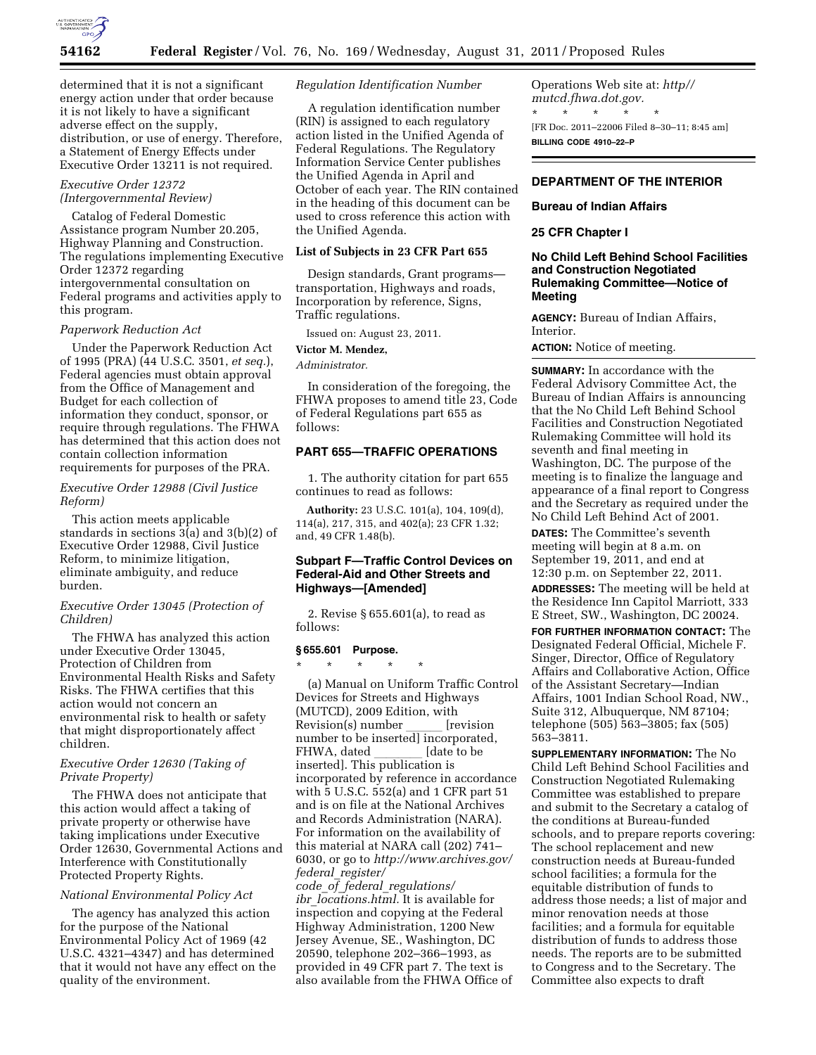

determined that it is not a significant energy action under that order because it is not likely to have a significant adverse effect on the supply, distribution, or use of energy. Therefore, a Statement of Energy Effects under Executive Order 13211 is not required.

### *Executive Order 12372 (Intergovernmental Review)*

Catalog of Federal Domestic Assistance program Number 20.205, Highway Planning and Construction. The regulations implementing Executive Order 12372 regarding intergovernmental consultation on Federal programs and activities apply to this program.

# *Paperwork Reduction Act*

Under the Paperwork Reduction Act of 1995 (PRA) (44 U.S.C. 3501, *et seq.*), Federal agencies must obtain approval from the Office of Management and Budget for each collection of information they conduct, sponsor, or require through regulations. The FHWA has determined that this action does not contain collection information requirements for purposes of the PRA.

# *Executive Order 12988 (Civil Justice Reform)*

This action meets applicable standards in sections 3(a) and 3(b)(2) of Executive Order 12988, Civil Justice Reform, to minimize litigation, eliminate ambiguity, and reduce burden.

### *Executive Order 13045 (Protection of Children)*

The FHWA has analyzed this action under Executive Order 13045, Protection of Children from Environmental Health Risks and Safety Risks. The FHWA certifies that this action would not concern an environmental risk to health or safety that might disproportionately affect children.

### *Executive Order 12630 (Taking of Private Property)*

The FHWA does not anticipate that this action would affect a taking of private property or otherwise have taking implications under Executive Order 12630, Governmental Actions and Interference with Constitutionally Protected Property Rights.

# *National Environmental Policy Act*

The agency has analyzed this action for the purpose of the National Environmental Policy Act of 1969 (42 U.S.C. 4321–4347) and has determined that it would not have any effect on the quality of the environment.

## *Regulation Identification Number*

A regulation identification number (RIN) is assigned to each regulatory action listed in the Unified Agenda of Federal Regulations. The Regulatory Information Service Center publishes the Unified Agenda in April and October of each year. The RIN contained in the heading of this document can be used to cross reference this action with the Unified Agenda.

### **List of Subjects in 23 CFR Part 655**

Design standards, Grant programs transportation, Highways and roads, Incorporation by reference, Signs, Traffic regulations.

Issued on: August 23, 2011.

# **Victor M. Mendez,**

*Administrator.* 

In consideration of the foregoing, the FHWA proposes to amend title 23, Code of Federal Regulations part 655 as follows:

# **PART 655—TRAFFIC OPERATIONS**

1. The authority citation for part 655 continues to read as follows:

**Authority:** 23 U.S.C. 101(a), 104, 109(d), 114(a), 217, 315, and 402(a); 23 CFR 1.32; and, 49 CFR 1.48(b).

# **Subpart F—Traffic Control Devices on Federal-Aid and Other Streets and Highways—[Amended]**

2. Revise § 655.601(a), to read as follows:

### **§ 655.601 Purpose.**

\* \* \* \* \*

(a) Manual on Uniform Traffic Control Devices for Streets and Highways (MUTCD), 2009 Edition, with<br>Revision(s) number [revision Revision(s) number \_\_\_\_\_ [revision<br>number to be inserted] incorporated, FHWA, dated \_\_\_\_\_\_\_ [date to be<br>inserted]. This publication is incorporated by reference in accordance with 5 U.S.C. 552(a) and 1 CFR part 51 and is on file at the National Archives and Records Administration (NARA). For information on the availability of this material at NARA call (202) 741– 6030, or go to *[http://www.archives.gov/](http://www.archives.gov/federal_register/code_of_federal_regulations/ibr_locations.html)  federal*\_*[register/](http://www.archives.gov/federal_register/code_of_federal_regulations/ibr_locations.html) code*\_*of*\_*federal*\_*[regulations/](http://www.archives.gov/federal_register/code_of_federal_regulations/ibr_locations.html)  ibr*\_*[locations.html.](http://www.archives.gov/federal_register/code_of_federal_regulations/ibr_locations.html)* It is available for inspection and copying at the Federal Highway Administration, 1200 New Jersey Avenue, SE., Washington, DC

20590, telephone 202–366–1993, as provided in 49 CFR part 7. The text is also available from the FHWA Office of

Operations Web site at: *[http//](http//mutcd.fhwa.dot.gov) [mutcd.fhwa.dot.gov.](http//mutcd.fhwa.dot.gov)*  \* \* \* \* \* [FR Doc. 2011–22006 Filed 8–30–11; 8:45 am] **BILLING CODE 4910–22–P** 

# **DEPARTMENT OF THE INTERIOR**

### **Bureau of Indian Affairs**

### **25 CFR Chapter I**

# **No Child Left Behind School Facilities and Construction Negotiated Rulemaking Committee—Notice of Meeting**

**AGENCY:** Bureau of Indian Affairs, Interior.

**ACTION:** Notice of meeting.

**SUMMARY:** In accordance with the Federal Advisory Committee Act, the Bureau of Indian Affairs is announcing that the No Child Left Behind School Facilities and Construction Negotiated Rulemaking Committee will hold its seventh and final meeting in Washington, DC. The purpose of the meeting is to finalize the language and appearance of a final report to Congress and the Secretary as required under the No Child Left Behind Act of 2001.

**DATES:** The Committee's seventh meeting will begin at 8 a.m. on September 19, 2011, and end at 12:30 p.m. on September 22, 2011.

**ADDRESSES:** The meeting will be held at the Residence Inn Capitol Marriott, 333 E Street, SW., Washington, DC 20024.

**FOR FURTHER INFORMATION CONTACT:** The Designated Federal Official, Michele F. Singer, Director, Office of Regulatory Affairs and Collaborative Action, Office of the Assistant Secretary—Indian Affairs, 1001 Indian School Road, NW., Suite 312, Albuquerque, NM 87104; telephone (505) 563–3805; fax (505) 563–3811.

**SUPPLEMENTARY INFORMATION:** The No Child Left Behind School Facilities and Construction Negotiated Rulemaking Committee was established to prepare and submit to the Secretary a catalog of the conditions at Bureau-funded schools, and to prepare reports covering: The school replacement and new construction needs at Bureau-funded school facilities; a formula for the equitable distribution of funds to address those needs; a list of major and minor renovation needs at those facilities; and a formula for equitable distribution of funds to address those needs. The reports are to be submitted to Congress and to the Secretary. The Committee also expects to draft